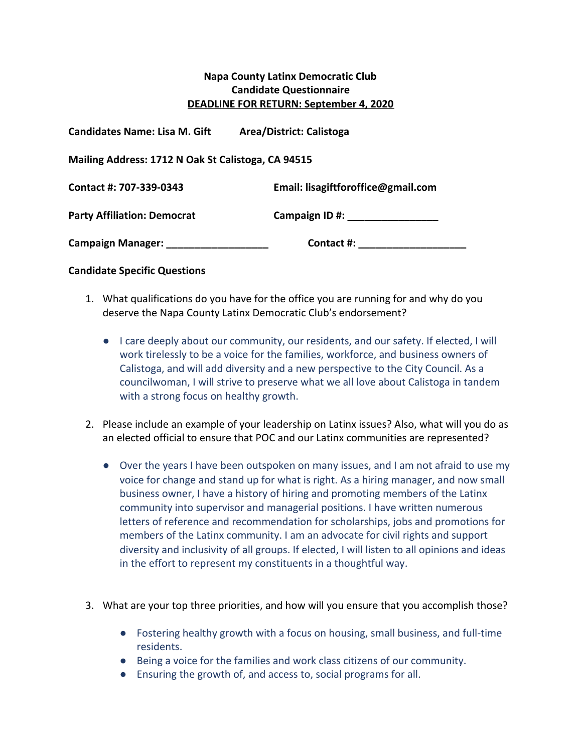## **Napa County Latinx Democratic Club Candidate Questionnaire DEADLINE FOR RETURN: September 4, 2020**

| <b>Candidates Name: Lisa M. Gift</b>               | Area/District: Calistoga           |
|----------------------------------------------------|------------------------------------|
| Mailing Address: 1712 N Oak St Calistoga, CA 94515 |                                    |
| Contact #: 707-339-0343                            | Email: lisagiftforoffice@gmail.com |
| <b>Party Affiliation: Democrat</b>                 | Campaign ID #:                     |
| <b>Campaign Manager:</b>                           | Contact #:                         |

## **Candidate Specific Questions**

- 1. What qualifications do you have for the office you are running for and why do you deserve the Napa County Latinx Democratic Club's endorsement?
	- I care deeply about our community, our residents, and our safety. If elected, I will work tirelessly to be a voice for the families, workforce, and business owners of Calistoga, and will add diversity and a new perspective to the City Council. As a councilwoman, I will strive to preserve what we all love about Calistoga in tandem with a strong focus on healthy growth.
- 2. Please include an example of your leadership on Latinx issues? Also, what will you do as an elected official to ensure that POC and our Latinx communities are represented?
	- Over the years I have been outspoken on many issues, and I am not afraid to use my voice for change and stand up for what is right. As a hiring manager, and now small business owner, I have a history of hiring and promoting members of the Latinx community into supervisor and managerial positions. I have written numerous letters of reference and recommendation for scholarships, jobs and promotions for members of the Latinx community. I am an advocate for civil rights and support diversity and inclusivity of all groups. If elected, I will listen to all opinions and ideas in the effort to represent my constituents in a thoughtful way.
- 3. What are your top three priorities, and how will you ensure that you accomplish those?
	- Fostering healthy growth with a focus on housing, small business, and full-time residents.
	- Being a voice for the families and work class citizens of our community.
	- Ensuring the growth of, and access to, social programs for all.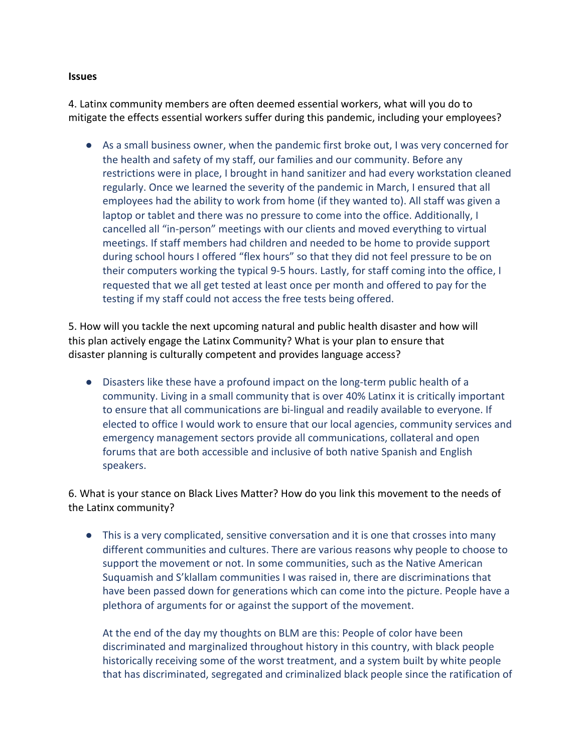## **Issues**

4. Latinx community members are often deemed essential workers, what will you do to mitigate the effects essential workers suffer during this pandemic, including your employees?

● As a small business owner, when the pandemic first broke out, I was very concerned for the health and safety of my staff, our families and our community. Before any restrictions were in place, I brought in hand sanitizer and had every workstation cleaned regularly. Once we learned the severity of the pandemic in March, I ensured that all employees had the ability to work from home (if they wanted to). All staff was given a laptop or tablet and there was no pressure to come into the office. Additionally, I cancelled all "in-person" meetings with our clients and moved everything to virtual meetings. If staff members had children and needed to be home to provide support during school hours I offered "flex hours" so that they did not feel pressure to be on their computers working the typical 9-5 hours. Lastly, for staff coming into the office, I requested that we all get tested at least once per month and offered to pay for the testing if my staff could not access the free tests being offered.

5. How will you tackle the next upcoming natural and public health disaster and how will this plan actively engage the Latinx Community? What is your plan to ensure that disaster planning is culturally competent and provides language access?

● Disasters like these have a profound impact on the long-term public health of a community. Living in a small community that is over 40% Latinx it is critically important to ensure that all communications are bi-lingual and readily available to everyone. If elected to office I would work to ensure that our local agencies, community services and emergency management sectors provide all communications, collateral and open forums that are both accessible and inclusive of both native Spanish and English speakers.

6. What is your stance on Black Lives Matter? How do you link this movement to the needs of the Latinx community?

● This is a very complicated, sensitive conversation and it is one that crosses into many different communities and cultures. There are various reasons why people to choose to support the movement or not. In some communities, such as the Native American Suquamish and S'klallam communities I was raised in, there are discriminations that have been passed down for generations which can come into the picture. People have a plethora of arguments for or against the support of the movement.

At the end of the day my thoughts on BLM are this: People of color have been discriminated and marginalized throughout history in this country, with black people historically receiving some of the worst treatment, and a system built by white people that has discriminated, segregated and criminalized black people since the ratification of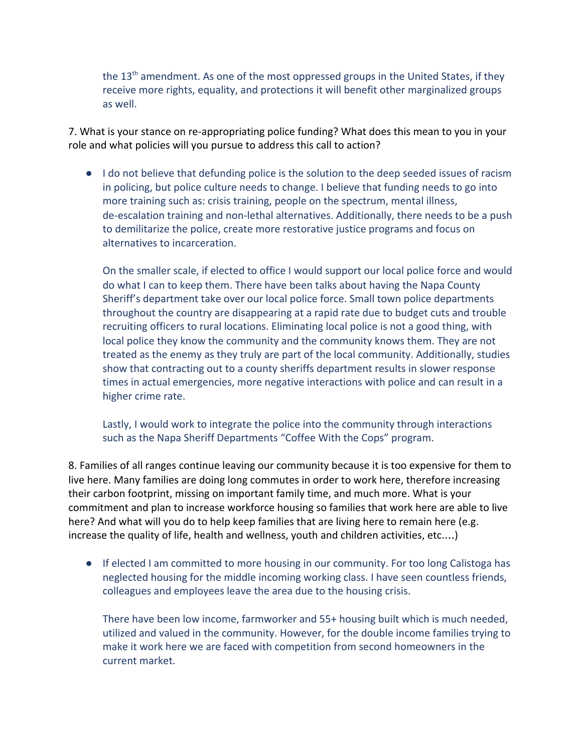the 13<sup>th</sup> amendment. As one of the most oppressed groups in the United States, if they receive more rights, equality, and protections it will benefit other marginalized groups as well.

7. What is your stance on re-appropriating police funding? What does this mean to you in your role and what policies will you pursue to address this call to action?

● I do not believe that defunding police is the solution to the deep seeded issues of racism in policing, but police culture needs to change. I believe that funding needs to go into more training such as: crisis training, people on the spectrum, mental illness, de-escalation training and non-lethal alternatives. Additionally, there needs to be a push to demilitarize the police, create more restorative justice programs and focus on alternatives to incarceration.

On the smaller scale, if elected to office I would support our local police force and would do what I can to keep them. There have been talks about having the Napa County Sheriff's department take over our local police force. Small town police departments throughout the country are disappearing at a rapid rate due to budget cuts and trouble recruiting officers to rural locations. Eliminating local police is not a good thing, with local police they know the community and the community knows them. They are not treated as the enemy as they truly are part of the local community. Additionally, studies show that contracting out to a county sheriffs department results in slower response times in actual emergencies, more negative interactions with police and can result in a higher crime rate.

Lastly, I would work to integrate the police into the community through interactions such as the Napa Sheriff Departments "Coffee With the Cops" program.

8. Families of all ranges continue leaving our community because it is too expensive for them to live here. Many families are doing long commutes in order to work here, therefore increasing their carbon footprint, missing on important family time, and much more. What is your commitment and plan to increase workforce housing so families that work here are able to live here? And what will you do to help keep families that are living here to remain here (e.g. increase the quality of life, health and wellness, youth and children activities, etc.…)

● If elected I am committed to more housing in our community. For too long Calistoga has neglected housing for the middle incoming working class. I have seen countless friends, colleagues and employees leave the area due to the housing crisis.

There have been low income, farmworker and 55+ housing built which is much needed, utilized and valued in the community. However, for the double income families trying to make it work here we are faced with competition from second homeowners in the current market.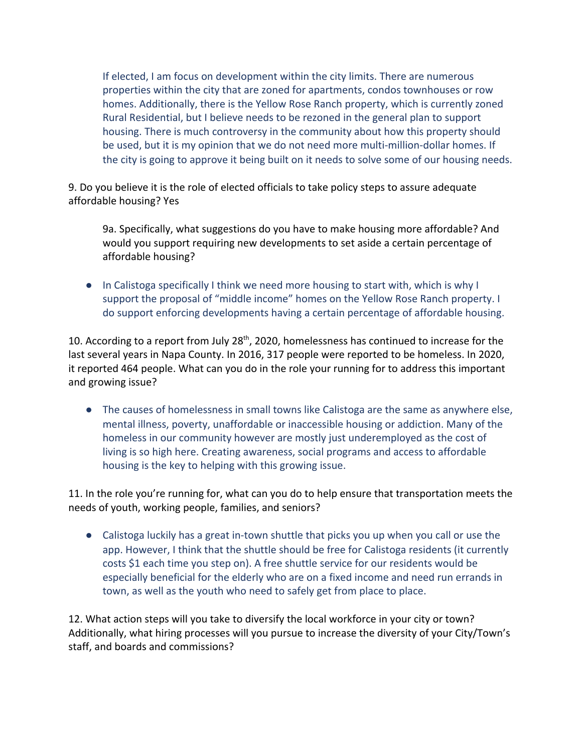If elected, I am focus on development within the city limits. There are numerous properties within the city that are zoned for apartments, condos townhouses or row homes. Additionally, there is the Yellow Rose Ranch property, which is currently zoned Rural Residential, but I believe needs to be rezoned in the general plan to support housing. There is much controversy in the community about how this property should be used, but it is my opinion that we do not need more multi-million-dollar homes. If the city is going to approve it being built on it needs to solve some of our housing needs.

9. Do you believe it is the role of elected officials to take policy steps to assure adequate affordable housing? Yes

9a. Specifically, what suggestions do you have to make housing more affordable? And would you support requiring new developments to set aside a certain percentage of affordable housing?

● In Calistoga specifically I think we need more housing to start with, which is why I support the proposal of "middle income" homes on the Yellow Rose Ranch property. I do support enforcing developments having a certain percentage of affordable housing.

10. According to a report from July 28<sup>th</sup>, 2020, homelessness has continued to increase for the last several years in Napa County. In 2016, 317 people were reported to be homeless. In 2020, it reported 464 people. What can you do in the role your running for to address this important and growing issue?

● The causes of homelessness in small towns like Calistoga are the same as anywhere else, mental illness, poverty, unaffordable or inaccessible housing or addiction. Many of the homeless in our community however are mostly just underemployed as the cost of living is so high here. Creating awareness, social programs and access to affordable housing is the key to helping with this growing issue.

11. In the role you're running for, what can you do to help ensure that transportation meets the needs of youth, working people, families, and seniors?

● Calistoga luckily has a great in-town shuttle that picks you up when you call or use the app. However, I think that the shuttle should be free for Calistoga residents (it currently costs \$1 each time you step on). A free shuttle service for our residents would be especially beneficial for the elderly who are on a fixed income and need run errands in town, as well as the youth who need to safely get from place to place.

12. What action steps will you take to diversify the local workforce in your city or town? Additionally, what hiring processes will you pursue to increase the diversity of your City/Town's staff, and boards and commissions?